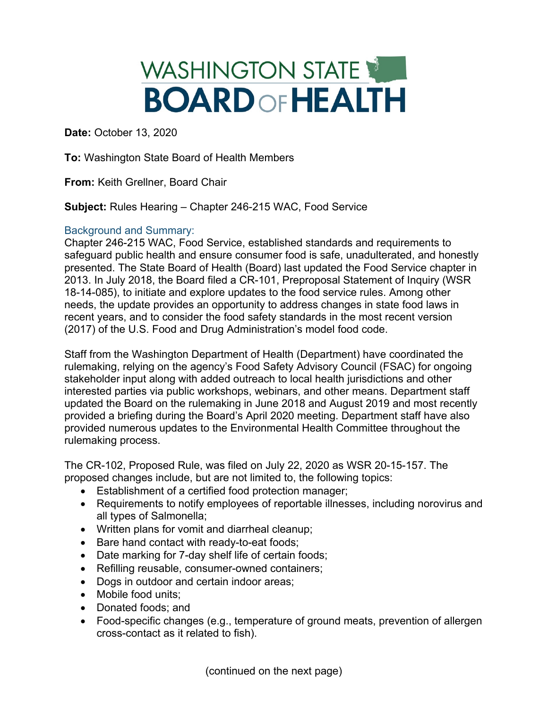## WASHINGTON STATE **BOARDOFHEALTH**

**Date:** October 13, 2020

**To:** Washington State Board of Health Members

**From:** Keith Grellner, Board Chair

**Subject:** Rules Hearing – Chapter 246-215 WAC, Food Service

## Background and Summary:

Chapter 246-215 WAC, Food Service, established standards and requirements to safeguard public health and ensure consumer food is safe, unadulterated, and honestly presented. The State Board of Health (Board) last updated the Food Service chapter in 2013. In July 2018, the Board filed a CR-101, Preproposal Statement of Inquiry (WSR 18-14-085), to initiate and explore updates to the food service rules. Among other needs, the update provides an opportunity to address changes in state food laws in recent years, and to consider the food safety standards in the most recent version (2017) of the U.S. Food and Drug Administration's model food code.

Staff from the Washington Department of Health (Department) have coordinated the rulemaking, relying on the agency's Food Safety Advisory Council (FSAC) for ongoing stakeholder input along with added outreach to local health jurisdictions and other interested parties via public workshops, webinars, and other means. Department staff updated the Board on the rulemaking in June 2018 and August 2019 and most recently provided a briefing during the Board's April 2020 meeting. Department staff have also provided numerous updates to the Environmental Health Committee throughout the rulemaking process.

The CR-102, Proposed Rule, was filed on July 22, 2020 as WSR 20-15-157. The proposed changes include, but are not limited to, the following topics:

- Establishment of a certified food protection manager;
- Requirements to notify employees of reportable illnesses, including norovirus and all types of Salmonella;
- Written plans for vomit and diarrheal cleanup;
- Bare hand contact with ready-to-eat foods;
- Date marking for 7-day shelf life of certain foods;
- Refilling reusable, consumer-owned containers;
- Dogs in outdoor and certain indoor areas;
- Mobile food units:
- Donated foods; and
- Food-specific changes (e.g., temperature of ground meats, prevention of allergen cross-contact as it related to fish).

(continued on the next page)